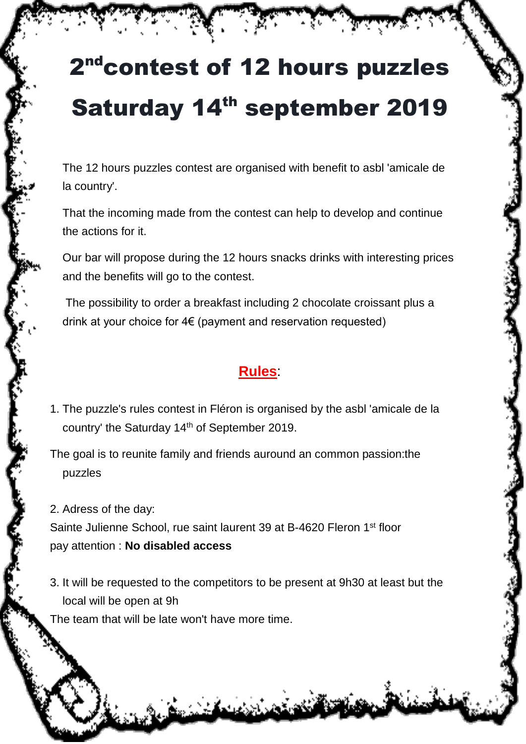## 2<sup>nd</sup>contest of 12 hours puzzles Saturday 14<sup>th</sup> september 2019

The 12 hours puzzles contest are organised with benefit to asbl 'amicale de la country'.

That the incoming made from the contest can help to develop and continue the actions for it.

Our bar will propose during the 12 hours snacks drinks with interesting prices and the benefits will go to the contest.

The possibility to order a breakfast including 2 chocolate croissant plus a drink at your choice for 4€ (payment and reservation requested)

## **Rules**:

1. The puzzle's rules contest in Fléron is organised by the asbl 'amicale de la country' the Saturday 14<sup>th</sup> of September 2019.

The goal is to reunite family and friends auround an common passion:the puzzles

2. Adress of the day:

Sainte Julienne School, rue saint laurent 39 at B-4620 Fleron 1<sup>st</sup> floor pay attention : **No disabled access**

3. It will be requested to the competitors to be present at 9h30 at least but the local will be open at 9h

The team that will be late won't have more time.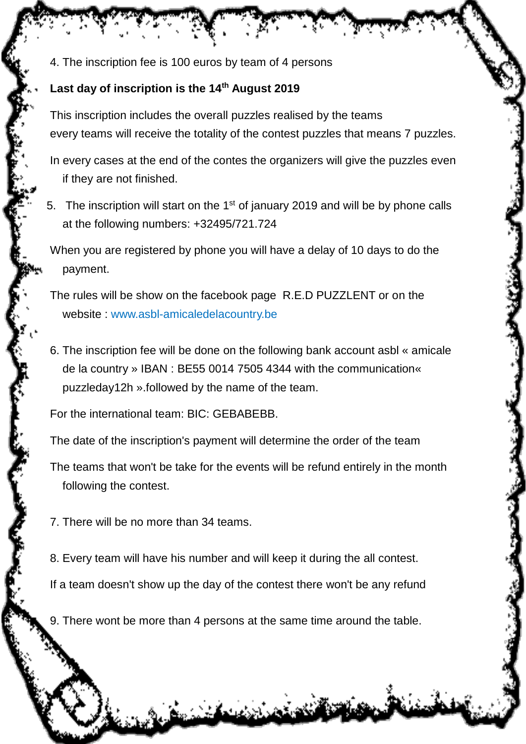4. The inscription fee is 100 euros by team of 4 persons

## **Last day of inscription is the 14th August 2019**

This inscription includes the overall puzzles realised by the teams every teams will receive the totality of the contest puzzles that means 7 puzzles.

In every cases at the end of the contes the organizers will give the puzzles even if they are not finished.

5. The inscription will start on the  $1<sup>st</sup>$  of january 2019 and will be by phone calls at the following numbers: +32495/721.724

When you are registered by phone you will have a delay of 10 days to do the payment.

The rules will be show on the facebook page R.E.D PUZZLENT or on the website : [www.asbl-amicaledelacountry.be](http://www.asbl-amicaledelacountry.be/)

6. The inscription fee will be done on the following bank account asbl « amicale de la country » IBAN : BE55 0014 7505 4344 with the communication« puzzleday12h ».followed by the name of the team.

For the international team: BIC: GEBABEBB.

The date of the inscription's payment will determine the order of the team

The teams that won't be take for the events will be refund entirely in the month following the contest.

- 7. There will be no more than 34 teams.
- 8. Every team will have his number and will keep it during the all contest.

If a team doesn't show up the day of the contest there won't be any refund

9. There wont be more than 4 persons at the same time around the table.